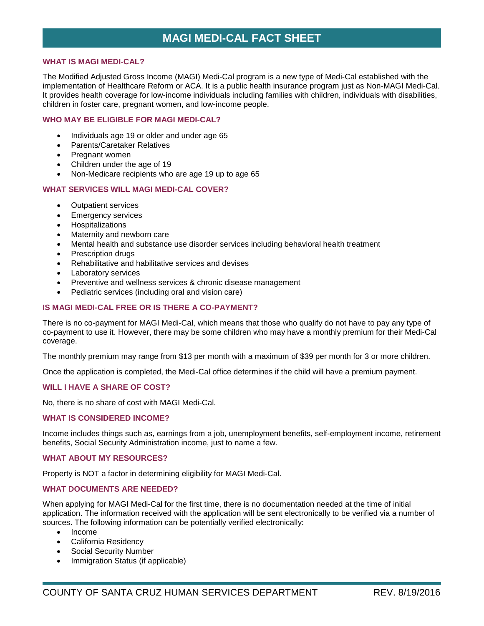# **MAGI MEDI-CAL FACT SHEET**

### **WHAT IS MAGI MEDI-CAL?**

The Modified Adjusted Gross Income (MAGI) Medi-Cal program is a new type of Medi-Cal established with the implementation of Healthcare Reform or ACA. It is a public health insurance program just as Non-MAGI Medi-Cal. It provides health coverage for low-income individuals including families with children, individuals with disabilities, children in foster care, pregnant women, and low-income people.

# **WHO MAY BE ELIGIBLE FOR MAGI MEDI-CAL?**

- Individuals age 19 or older and under age 65
- Parents/Caretaker Relatives
- Pregnant women
- Children under the age of 19
- Non-Medicare recipients who are age 19 up to age 65

#### **WHAT SERVICES WILL MAGI MEDI-CAL COVER?**

- Outpatient services
- Emergency services
- Hospitalizations
- Maternity and newborn care
- Mental health and substance use disorder services including behavioral health treatment
- Prescription drugs
- Rehabilitative and habilitative services and devises
- Laboratory services
- Preventive and wellness services & chronic disease management
- Pediatric services (including oral and vision care)

### **IS MAGI MEDI-CAL FREE OR IS THERE A CO-PAYMENT?**

There is no co-payment for MAGI Medi-Cal, which means that those who qualify do not have to pay any type of co-payment to use it. However, there may be some children who may have a monthly premium for their Medi-Cal coverage.

The monthly premium may range from \$13 per month with a maximum of \$39 per month for 3 or more children.

Once the application is completed, the Medi-Cal office determines if the child will have a premium payment.

# **WILL I HAVE A SHARE OF COST?**

No, there is no share of cost with MAGI Medi-Cal.

## **WHAT IS CONSIDERED INCOME?**

Income includes things such as, earnings from a job, unemployment benefits, self-employment income, retirement benefits, Social Security Administration income, just to name a few.

#### **WHAT ABOUT MY RESOURCES?**

Property is NOT a factor in determining eligibility for MAGI Medi-Cal.

### **WHAT DOCUMENTS ARE NEEDED?**

When applying for MAGI Medi-Cal for the first time, there is no documentation needed at the time of initial application. The information received with the application will be sent electronically to be verified via a number of sources. The following information can be potentially verified electronically:

- Income
- California Residency
- **Social Security Number**
- Immigration Status (if applicable)